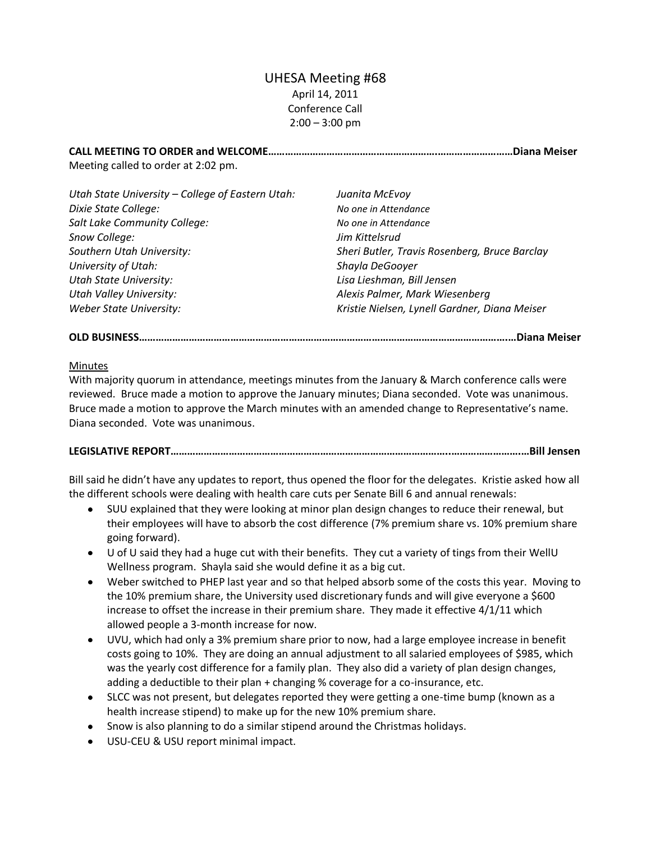# UHESA Meeting #68 April 14, 2011 Conference Call  $2:00 - 3:00$  pm

**CALL MEETING TO ORDER and WELCOME…………………………………………………….………………………Diana Meiser** Meeting called to order at 2:02 pm.

| Utah State University – College of Eastern Utah: | Juanita McEvoy                                |
|--------------------------------------------------|-----------------------------------------------|
| Dixie State College:                             | No one in Attendance                          |
| Salt Lake Community College:                     | No one in Attendance                          |
| Snow College:                                    | Jim Kittelsrud                                |
| Southern Utah University:                        | Sheri Butler, Travis Rosenberg, Bruce Barclay |
| University of Utah:                              | Shayla DeGooyer                               |
| <b>Utah State University:</b>                    | Lisa Lieshman, Bill Jensen                    |
| Utah Valley University:                          | Alexis Palmer, Mark Wiesenberg                |
| <b>Weber State University:</b>                   | Kristie Nielsen, Lynell Gardner, Diana Meiser |
|                                                  |                                               |

## **OLD BUSINESS…………………………………………………………………………………………………………………….…Diana Meiser**

#### Minutes

With majority quorum in attendance, meetings minutes from the January & March conference calls were reviewed. Bruce made a motion to approve the January minutes; Diana seconded. Vote was unanimous. Bruce made a motion to approve the March minutes with an amended change to Representative's name. Diana seconded. Vote was unanimous.

## **LEGISLATIVE REPORT………………………………………………………………………………………..…………………….…Bill Jensen**

Bill said he didn't have any updates to report, thus opened the floor for the delegates. Kristie asked how all the different schools were dealing with health care cuts per Senate Bill 6 and annual renewals:

- $\bullet$ SUU explained that they were looking at minor plan design changes to reduce their renewal, but their employees will have to absorb the cost difference (7% premium share vs. 10% premium share going forward).
- U of U said they had a huge cut with their benefits. They cut a variety of tings from their WellU Wellness program. Shayla said she would define it as a big cut.
- Weber switched to PHEP last year and so that helped absorb some of the costs this year. Moving to the 10% premium share, the University used discretionary funds and will give everyone a \$600 increase to offset the increase in their premium share. They made it effective 4/1/11 which allowed people a 3-month increase for now.
- UVU, which had only a 3% premium share prior to now, had a large employee increase in benefit costs going to 10%. They are doing an annual adjustment to all salaried employees of \$985, which was the yearly cost difference for a family plan. They also did a variety of plan design changes, adding a deductible to their plan + changing % coverage for a co-insurance, etc.
- SLCC was not present, but delegates reported they were getting a one-time bump (known as a health increase stipend) to make up for the new 10% premium share.
- Snow is also planning to do a similar stipend around the Christmas holidays.
- USU-CEU & USU report minimal impact.